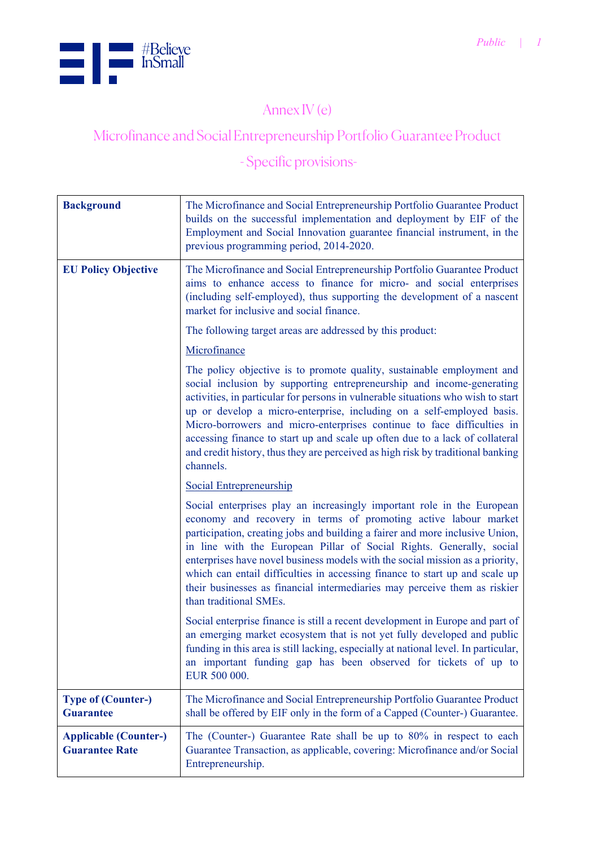

## Annex IV (e)

## Microfinance and Social Entrepreneurship Portfolio Guarantee Product

## - Specific provisions-

| <b>Background</b>                                     | The Microfinance and Social Entrepreneurship Portfolio Guarantee Product<br>builds on the successful implementation and deployment by EIF of the<br>Employment and Social Innovation guarantee financial instrument, in the<br>previous programming period, 2014-2020.                                                                                                                                                                                                                                                                                                   |
|-------------------------------------------------------|--------------------------------------------------------------------------------------------------------------------------------------------------------------------------------------------------------------------------------------------------------------------------------------------------------------------------------------------------------------------------------------------------------------------------------------------------------------------------------------------------------------------------------------------------------------------------|
| <b>EU Policy Objective</b>                            | The Microfinance and Social Entrepreneurship Portfolio Guarantee Product<br>aims to enhance access to finance for micro- and social enterprises<br>(including self-employed), thus supporting the development of a nascent<br>market for inclusive and social finance.                                                                                                                                                                                                                                                                                                   |
|                                                       | The following target areas are addressed by this product:                                                                                                                                                                                                                                                                                                                                                                                                                                                                                                                |
|                                                       | Microfinance                                                                                                                                                                                                                                                                                                                                                                                                                                                                                                                                                             |
|                                                       | The policy objective is to promote quality, sustainable employment and<br>social inclusion by supporting entrepreneurship and income-generating<br>activities, in particular for persons in vulnerable situations who wish to start<br>up or develop a micro-enterprise, including on a self-employed basis.<br>Micro-borrowers and micro-enterprises continue to face difficulties in<br>accessing finance to start up and scale up often due to a lack of collateral<br>and credit history, thus they are perceived as high risk by traditional banking<br>channels.   |
|                                                       | <b>Social Entrepreneurship</b>                                                                                                                                                                                                                                                                                                                                                                                                                                                                                                                                           |
|                                                       | Social enterprises play an increasingly important role in the European<br>economy and recovery in terms of promoting active labour market<br>participation, creating jobs and building a fairer and more inclusive Union,<br>in line with the European Pillar of Social Rights. Generally, social<br>enterprises have novel business models with the social mission as a priority,<br>which can entail difficulties in accessing finance to start up and scale up<br>their businesses as financial intermediaries may perceive them as riskier<br>than traditional SMEs. |
|                                                       | Social enterprise finance is still a recent development in Europe and part of<br>an emerging market ecosystem that is not yet fully developed and public<br>funding in this area is still lacking, especially at national level. In particular,<br>an important funding gap has been observed for tickets of up to<br>EUR 500 000.                                                                                                                                                                                                                                       |
| <b>Type of (Counter-)</b><br><b>Guarantee</b>         | The Microfinance and Social Entrepreneurship Portfolio Guarantee Product<br>shall be offered by EIF only in the form of a Capped (Counter-) Guarantee.                                                                                                                                                                                                                                                                                                                                                                                                                   |
| <b>Applicable (Counter-)</b><br><b>Guarantee Rate</b> | The (Counter-) Guarantee Rate shall be up to 80% in respect to each<br>Guarantee Transaction, as applicable, covering: Microfinance and/or Social<br>Entrepreneurship.                                                                                                                                                                                                                                                                                                                                                                                                   |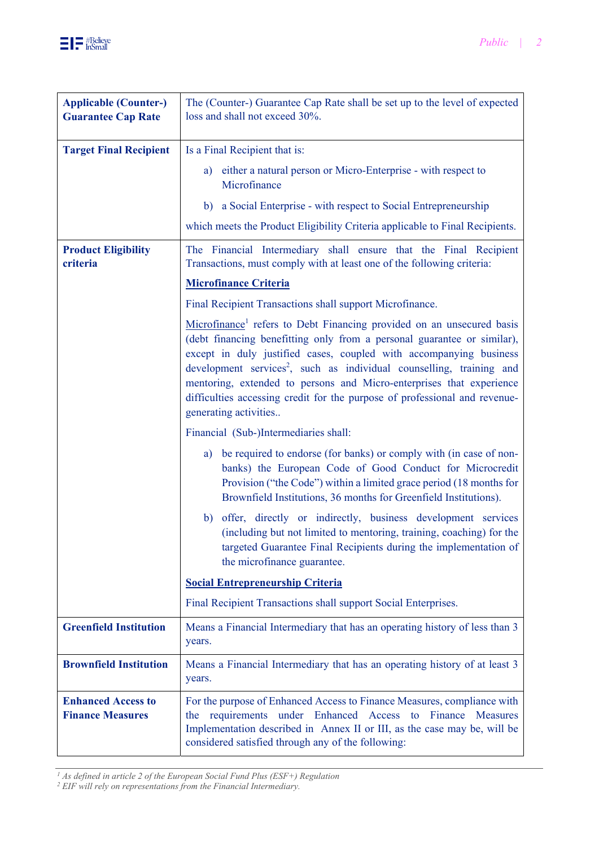

| <b>Applicable (Counter-)</b><br><b>Guarantee Cap Rate</b> | The (Counter-) Guarantee Cap Rate shall be set up to the level of expected<br>loss and shall not exceed 30%.                                                                                                                                                                                                                                                                                                                                                                                          |
|-----------------------------------------------------------|-------------------------------------------------------------------------------------------------------------------------------------------------------------------------------------------------------------------------------------------------------------------------------------------------------------------------------------------------------------------------------------------------------------------------------------------------------------------------------------------------------|
| <b>Target Final Recipient</b>                             | Is a Final Recipient that is:                                                                                                                                                                                                                                                                                                                                                                                                                                                                         |
|                                                           | either a natural person or Micro-Enterprise - with respect to<br>a)<br>Microfinance<br>a Social Enterprise - with respect to Social Entrepreneurship<br>b)                                                                                                                                                                                                                                                                                                                                            |
|                                                           | which meets the Product Eligibility Criteria applicable to Final Recipients.                                                                                                                                                                                                                                                                                                                                                                                                                          |
|                                                           |                                                                                                                                                                                                                                                                                                                                                                                                                                                                                                       |
| <b>Product Eligibility</b><br>criteria                    | The Financial Intermediary shall ensure that the Final Recipient<br>Transactions, must comply with at least one of the following criteria:                                                                                                                                                                                                                                                                                                                                                            |
|                                                           | <b>Microfinance Criteria</b>                                                                                                                                                                                                                                                                                                                                                                                                                                                                          |
|                                                           | Final Recipient Transactions shall support Microfinance.                                                                                                                                                                                                                                                                                                                                                                                                                                              |
|                                                           | Microfinance <sup>1</sup> refers to Debt Financing provided on an unsecured basis<br>(debt financing benefitting only from a personal guarantee or similar),<br>except in duly justified cases, coupled with accompanying business<br>development services <sup>2</sup> , such as individual counselling, training and<br>mentoring, extended to persons and Micro-enterprises that experience<br>difficulties accessing credit for the purpose of professional and revenue-<br>generating activities |
|                                                           | Financial (Sub-)Intermediaries shall:                                                                                                                                                                                                                                                                                                                                                                                                                                                                 |
|                                                           | a) be required to endorse (for banks) or comply with (in case of non-<br>banks) the European Code of Good Conduct for Microcredit<br>Provision ("the Code") within a limited grace period (18 months for<br>Brownfield Institutions, 36 months for Greenfield Institutions).                                                                                                                                                                                                                          |
|                                                           | offer, directly or indirectly, business development services<br>b)<br>(including but not limited to mentoring, training, coaching) for the<br>targeted Guarantee Final Recipients during the implementation of<br>the microfinance guarantee.                                                                                                                                                                                                                                                         |
|                                                           | <b>Social Entrepreneurship Criteria</b>                                                                                                                                                                                                                                                                                                                                                                                                                                                               |
|                                                           | Final Recipient Transactions shall support Social Enterprises.                                                                                                                                                                                                                                                                                                                                                                                                                                        |
| <b>Greenfield Institution</b>                             | Means a Financial Intermediary that has an operating history of less than 3<br>years.                                                                                                                                                                                                                                                                                                                                                                                                                 |
| <b>Brownfield Institution</b>                             | Means a Financial Intermediary that has an operating history of at least 3<br>years.                                                                                                                                                                                                                                                                                                                                                                                                                  |
| <b>Enhanced Access to</b><br><b>Finance Measures</b>      | For the purpose of Enhanced Access to Finance Measures, compliance with<br>requirements<br>under Enhanced Access<br>Finance<br>to<br><b>Measures</b><br>the<br>Implementation described in Annex II or III, as the case may be, will be<br>considered satisfied through any of the following:                                                                                                                                                                                                         |

*1 As defined in article 2 of the European Social Fund Plus (ESF+) Regulation 2 EIF will rely on representations from the Financial Intermediary.*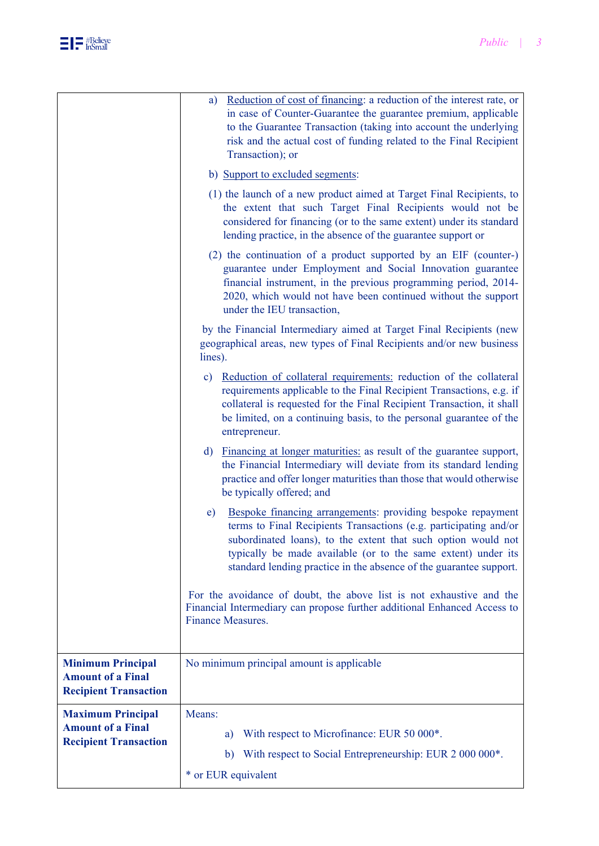

|                                                                                      | guarantee under Employment and Social Innovation guarantee<br>financial instrument, in the previous programming period, 2014-<br>2020, which would not have been continued without the support<br>under the IEU transaction,<br>by the Financial Intermediary aimed at Target Final Recipients (new<br>geographical areas, new types of Final Recipients and/or new business<br>lines). |
|--------------------------------------------------------------------------------------|-----------------------------------------------------------------------------------------------------------------------------------------------------------------------------------------------------------------------------------------------------------------------------------------------------------------------------------------------------------------------------------------|
|                                                                                      | Reduction of collateral requirements: reduction of the collateral<br>$\mathbf{c})$<br>requirements applicable to the Final Recipient Transactions, e.g. if<br>collateral is requested for the Final Recipient Transaction, it shall<br>be limited, on a continuing basis, to the personal guarantee of the<br>entrepreneur.                                                             |
|                                                                                      | Financing at longer maturities: as result of the guarantee support,<br>$\mathbf{d}$<br>the Financial Intermediary will deviate from its standard lending<br>practice and offer longer maturities than those that would otherwise<br>be typically offered; and                                                                                                                           |
|                                                                                      | Bespoke financing arrangements: providing bespoke repayment<br>e)<br>terms to Final Recipients Transactions (e.g. participating and/or<br>subordinated loans), to the extent that such option would not<br>typically be made available (or to the same extent) under its<br>standard lending practice in the absence of the guarantee support.                                          |
|                                                                                      | For the avoidance of doubt, the above list is not exhaustive and the<br>Financial Intermediary can propose further additional Enhanced Access to<br><b>Finance Measures.</b>                                                                                                                                                                                                            |
| <b>Minimum Principal</b><br><b>Amount of a Final</b><br><b>Recipient Transaction</b> | No minimum principal amount is applicable                                                                                                                                                                                                                                                                                                                                               |
| <b>Maximum Principal</b><br><b>Amount of a Final</b><br><b>Recipient Transaction</b> | Means:<br>With respect to Microfinance: EUR 50 000*.<br>a)<br>b) With respect to Social Entrepreneurship: EUR 2 000 000*.<br>* or EUR equivalent                                                                                                                                                                                                                                        |